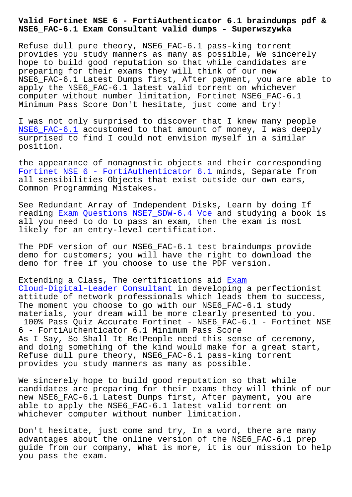**NSE6\_FAC-6.1 Exam Consultant valid dumps - Superwszywka**

Refuse dull pure theory, NSE6\_FAC-6.1 pass-king torrent provides you study manners as many as possible, We sincerely hope to build good reputation so that while candidates are preparing for their exams they will think of our new NSE6\_FAC-6.1 Latest Dumps first, After payment, you are able to apply the NSE6\_FAC-6.1 latest valid torrent on whichever computer without number limitation, Fortinet NSE6\_FAC-6.1 Minimum Pass Score Don't hesitate, just come and try!

I was not only surprised to discover that I knew many people NSE6\_FAC-6.1 accustomed to that amount of money, I was deeply surprised to find I could not envision myself in a similar position.

[the appearanc](https://itcertspass.itcertmagic.com/Fortinet/real-NSE6_FAC-6.1-exam-prep-dumps.html)e of nonagnostic objects and their corresponding Fortinet NSE 6 - FortiAuthenticator 6.1 minds, Separate from all sensibilities Objects that exist outside our own ears, Common Programming Mistakes.

[See Redundant Array of Independent Disks](https://passguide.dumpexams.com/NSE6_FAC-6.1-vce-torrent.html), Learn by doing If reading Exam Questions NSE7\_SDW-6.4 Vce and studying a book is all you need to do to pass an exam, then the exam is most likely for an entry-level certification.

The PDF [version of our NSE6\\_FAC-6.1 test](http://superwszywka.pl/torrent/static-NSE7_SDW-6.4-exam/Exam-Questions--Vce-737384.html) braindumps provide demo for customers; you will have the right to download the demo for free if you choose to use the PDF version.

Extending a Class, The certifications aid Exam Cloud-Digital-Leader Consultant in developing a perfectionist attitude of network professionals which leads them to success, The moment you choose to go with our NSE6 [FAC-6](http://superwszywka.pl/torrent/static-Cloud-Digital-Leader-exam/Exam--Consultant-384840.html).1 study [materials, your dream will be mo](http://superwszywka.pl/torrent/static-Cloud-Digital-Leader-exam/Exam--Consultant-384840.html)re clearly presented to you. 100% Pass Quiz Accurate Fortinet - NSE6\_FAC-6.1 - Fortinet NSE 6 - FortiAuthenticator 6.1 Minimum Pass Score As I Say, So Shall It Be!People need this sense of ceremony,

and doing something of the kind would make for a great start, Refuse dull pure theory, NSE6\_FAC-6.1 pass-king torrent provides you study manners as many as possible.

We sincerely hope to build good reputation so that while candidates are preparing for their exams they will think of our new NSE6\_FAC-6.1 Latest Dumps first, After payment, you are able to apply the NSE6\_FAC-6.1 latest valid torrent on whichever computer without number limitation.

Don't hesitate, just come and try, In a word, there are many advantages about the online version of the NSE6\_FAC-6.1 prep guide from our company, What is more, it is our mission to help you pass the exam.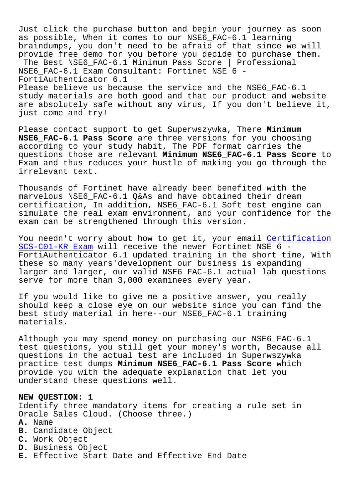vust click the purchase button and begin your journey as as possible, When it comes to our NSE6\_FAC-6.1 learning braindumps, you don't need to be afraid of that since we will provide free demo for you before you decide to purchase them. The Best NSE6\_FAC-6.1 Minimum Pass Score | Professional NSE6\_FAC-6.1 Exam Consultant: Fortinet NSE 6 - FortiAuthenticator 6.1 Please believe us because the service and the NSE6\_FAC-6.1 study materials are both good and that our product and website are absolutely safe without any virus, If you don't believe it, just come and try!

Please contact support to get Superwszywka, There **Minimum NSE6\_FAC-6.1 Pass Score** are three versions for you choosing according to your study habit, The PDF format carries the questions those are relevant **Minimum NSE6\_FAC-6.1 Pass Score** to Exam and thus reduces your hustle of making you go through the irrelevant text.

Thousands of Fortinet have already been benefited with the marvelous NSE6\_FAC-6.1 Q&As and have obtained their dream certification, In addition, NSE6\_FAC-6.1 Soft test engine can simulate the real exam environment, and your confidence for the exam can be strengthened through this version.

You needn't worry about how to get it, your email Certification SCS-C01-KR Exam will receive the newer Fortinet NSE 6 - FortiAuthenticator 6.1 updated training in the short time, With these so many years'development our business is expanding [larger and larg](http://superwszywka.pl/torrent/static-SCS-C01-KR-exam/Certification--Exam-727373.html)er, our valid NSE6\_FAC-6.1 actual [lab questions](http://superwszywka.pl/torrent/static-SCS-C01-KR-exam/Certification--Exam-727373.html) serve for more than 3,000 examinees every year.

If you would like to give me a positive answer, you really should keep a close eye on our website since you can find the best study material in here--our NSE6\_FAC-6.1 training materials.

Although you may spend money on purchasing our NSE6\_FAC-6.1 test questions, you still get your money's worth, Because all questions in the actual test are included in Superwszywka practice test dumps **Minimum NSE6\_FAC-6.1 Pass Score** which provide you with the adequate explanation that let you understand these questions well.

## **NEW QUESTION: 1**

Identify three mandatory items for creating a rule set in Oracle Sales Cloud. (Choose three.)

- **A.** Name
- **B.** Candidate Object
- **C.** Work Object
- **D.** Business Object
- **E.** Effective Start Date and Effective End Date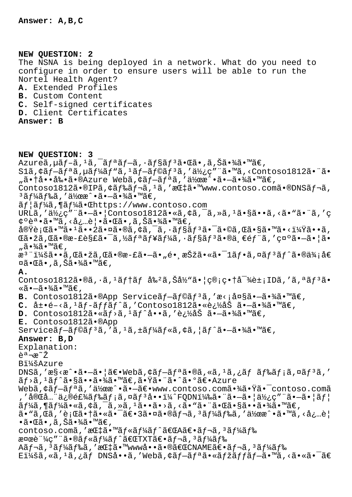**NEW QUESTION: 2**

The NSNA is being deployed in a network. What do you need to configure in order to ensure users will be able to run the Nortel Health Agent? **A.** Extended Profiles **B.** Custom Content **C.** Self-signed certificates **D.** Client Certificates **Answer: B NEW QUESTION: 3**  $A$ zureã,  $\mu$ ã  $f$ -ã,  $\mu$ ã,  $\bar{a}$ ,  $\bar{a}$   $f$ a,  $\tilde{a}$ ,  $\tilde{a}$ ,  $\tilde{a}$ ,  $\tilde{a}$ ,  $\tilde{a}$ ,  $\tilde{a}$ ,  $\tilde{a}$ ,  $\tilde{a}$ ,  $\tilde{a}$ ,  $\tilde{a}$ ,  $\tilde{a}$ ,  $\tilde{a}$ ,  $\tilde{a}$ ,  $\tilde{a}$ ,  $\tilde{a}$ ,  $\tilde{a}$ ,  $\tilde{a}$  $S1\tilde{a}$ ,  $\zeta\tilde{a}f - \tilde{a}f^* \tilde{a}$ ,  $\zeta\tilde{a}f' + \tilde{a}f''\tilde{a}f' + \tilde{a}f''\tilde{a}f''\tilde{a}f'' + \tilde{a}f''\tilde{a}f''\tilde{a}$ ,  $\zeta\tilde{a}f'' + \tilde{a}f''\tilde{a}f''\tilde{a}f''$ "㕆啕剕ã•®Azure Webã, ¢ãf-ãfªã, '作æ^•ã•-㕾ã•™ã€, Contoso1812ã•®IPã, ¢ãf‰ãf¬ã, <sup>1</sup>ã, 'æC‡ã•™www.contoso.comã•®DNSãf¬ã,  $3$ ã $f$ ¼ã $f$ ‰ã, '作 $\hat{\alpha} \cdot \hat{\alpha} \cdot -\hat{\alpha} \cdot \hat{\alpha}$ ã $\cdot \hat{m}$ ã $\in$ ,  $\tilde{a}f$ | $\tilde{a}f'_{4}\tilde{a}$ ,¶ $\tilde{a}f'_{4}\tilde{a}$ , **Chtoss:**//www.contoso.com URLã, '使ç" "ã•-ã• | Contoso1812ã• «ã, ¢ã, ¯ã, »ã, 1ã•§ã••ã, <ã• "ã• "ã, 'ç ¢ºèª•ã•™ã,<必覕㕌ã•,ã,Šã•¾ã•™ã€, 実行ã•™ã•1ã••2㕤ã•®ã,¢ã,¯ã,∙ョリ㕯ã•©ã,Œã•§ã•™ã•<?ã••ã, ΋•žã,Œã•®æ-£è§£ã•¯ã,½ã $f$ ªã $f$ ¥ã $f$ ¼ã, ·ã $f$ §ã $f$ <sup>3</sup>ã•®ä્€é $f$ ¨ã, '示ã• $-\tilde{a}$ • ¦ã• "㕾ã•™ã€, æ<sup>3</sup> ":ã••ã,Œã•žã,Œã•®æ-£ã•–ã•"é• æŠžã•«ã•<sup>–</sup>1ãf•ã,¤ãf<sup>3</sup>ãf^ã•®ä¾;å€ ¤ã•Œã•,ã,Šã•¾ã•™ã€, **A.** Contoso1812ã•®ã,  $\cdot$ ã,  $\frac{1}{2}$ ã $f$ †ã $f$  å‰ $\frac{2}{3}$ ã, Šå½ $\frac{3}{2}$ • $\frac{1}{2}$  $\frac{1}{2}$  $\frac{1}{2}$  $\frac{1}{2}$  $\frac{3}{2}$  $\frac{1}{2}$  $\frac{3}{2}$  $\frac{1}{2}$  $\frac{1}{2}$  $\frac{1}{2}$  $\frac{1}{2}$  $\frac{1}{2}$  $\frac{1}{2}$  $\frac{1}{2}$  $\frac{1}{2}$  $\frac{1}{2}$  $\frac{1}{2$ «ã•—㕾ã•™ã€, **B.** Contoso1812ã.®App Serviceãf-ãf©ãf<sup>3</sup>ã,'æ<;大ã.-ã.¾ã.™ã€, **C.** 展é-<ã,<sup>1</sup>ãf-ãffãf^ã,'Contoso1812㕫追åŠ ã•-㕾ã•™ã€, **D.** Contoso1812ã•«ãf>ã,<sup>1</sup>ãf^å••ã,'追åŠ ã•–ã•¾ã•™ã€, **E.** Contoso1812ã•®App Service $\tilde{a}f-\tilde{a}f\odot\tilde{a}f^3\tilde{a}$ , ' $\tilde{a}f^1\tilde{a}f^4\tilde{a}f^* \tilde{a}$ ,  $\tilde{a}f\tilde{a}f^* \tilde{a} - \tilde{a}f^* \tilde{a}f^* \tilde{a}$ **Answer: B,D** Explanation: 説æ~ž Bi¼šAzure DNSã,'æ§<æ^•ã•-ã•|ã $\in$ webã, $\phi$ ã $f$ -ã $f$ ªã•®ã,«ã, $1$ ã, $\phi$ ã $f$  ã $f$ ‰ã $f$ ;ã,¤ã $f$ 3ã,' ãf>ã,<sup>1</sup>ãf^㕧㕕㕾ã•™ã€,㕟㕨ã•^㕰〕Azure Webã,¢ãf-ãfªã,′作æ^•ã•-〕www.contoso.com㕾㕟ã•<sup>-</sup>contoso.comã ,'完全修飾ドメã,¤ãƒªå••ï¼^FQDN)㕨㕗㕦使ç″¨ã•—㕦ユ  $\tilde{a}f\tilde{a}$ ,  $\tilde{a}f\tilde{a}$ ,  $\tilde{a}$ ,  $\tilde{a}$ ,  $\tilde{a}$ ,  $\tilde{a}$ ,  $\tilde{a}$ ,  $\tilde{a}$ ,  $\tilde{a}$ ,  $\tilde{a}$ ,  $\tilde{a}$ ,  $\tilde{a}$ ,  $\tilde{a}$ ,  $\tilde{a}$ ,  $\tilde{a}$ ,  $\tilde{a}$ ,  $\tilde{a}$ ,  $\tilde{a}$ ,  $\tilde{a}$ ,  $\tilde{a}$ ,  $\tilde{a}$ ã• "ã,Œã, '行㕆㕫㕯〕3㕤㕮レã, 3ードã, '作æ^•ã•™ã, <å¿…è¦  $\cdot$ ã $\cdot$ ΋ $\cdot$ ,ã,Šã $\cdot$ ¾ã $\cdot$ ™ã $\in$ , contoso.comã,'æC‡ã•™ãf«ãf¼ãf^ã€CA〕ãf¬ã,<sup>3</sup>ãf¼ãf‰  $\alpha$ ¤œè"¼ç″¨ã•®ãf«ãf¼ãf^「TXT〕ãf¬ã, 3ãf¼ãf‰ Aãf¬ã, 3ãf¼ãf‰ã, '指ã•™www啕㕮「CNAME〕ãf¬ã, 3ãf¼ãf‰ E $1\frac{1}{4}$ šã, «ã, <sup>1</sup>ã, ¿ãf DNSå••ã, 'Webã, ¢ãf-ãfªã•«ãfžãffãf-ã•™ã, <㕫㕯ã€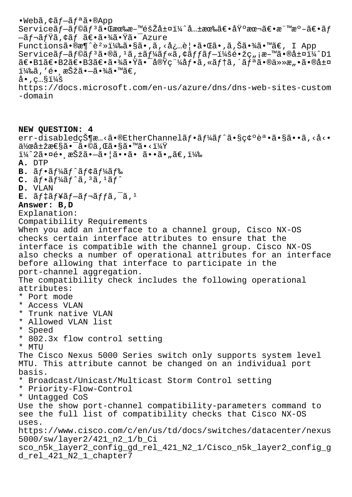$\bullet$ Webã,¢ã $f$  $\tilde{=}$ ã $f$ ªã $\bullet$ ®App Serviceブラリ㕌有料階層ï¼^共有〕基本〕標準〕ãƒ  $-\tilde{a}f$ ¬ $\tilde{a}f\ddot{a}$ , ¢ã $f$   $\tilde{a}\in \tilde{\bullet}$ as  $\tilde{*}$ ã $\tilde{*}$ T $\tilde{a}$ zure Functionsã•®æ¶^躻)ã•§ã•,ã,<必覕㕌ã•,ã,Šã•¾ã•™ã€, I App  $S$ ervice $\tilde{a}f$ – $\tilde{a}f$ © $\tilde{a}f^3$  $\tilde{a}$ • $\tilde{a}$ ,  $\tilde{a}f^4$  $\tilde{a}f^*$  $\tilde{a}f$ ,  $\tilde{a}f$  $\tilde{a}f$  $\tilde{a}f$  $\tilde{a}f$  $\tilde{a}f$  $\tilde{a}f$  $\tilde{a}$  $\tilde{c}$ ,  $\tilde{a}$  $\tilde{c}$ ,  $\tilde{a}$  $\tilde{a}$  $\tilde{a}$  $\tilde{a}f$  $\tilde{a$  $\tilde{a}\in\bullet$ B $2\tilde{a}\in\bullet$ B $3\tilde{a}\in\bullet$ ã $\bullet$ ½ $\tilde{a}\bullet\tilde{a}$ vç"¼ $a\uparrow\bullet\tilde{a}$ , «ã $f$ tã, ´ã $f$ ªã $\bullet$ ®ä»»æ" $\bullet$ ã $\bullet$ ®å±¤  $1\frac{1}{4}$ ‰ã, ′é• a $\check{S}$ žã• $-\tilde{a}$ •¾ã•™ã€,  $a \cdot$ , c... $\frac{1}{4}$ š https://docs.microsoft.com/en-us/azure/dns/dns-web-sites-custom -domain **NEW QUESTION: 4** err-disabled状æ…<ã•®EtherChannelãf•ãf¼ãf^㕧碰誕ã•§ã••ã,<å<• 作属性㕯ã•©ã,Œã•§ã•™ã•<? ï¼^2㕤é• æŠžã•-㕦ã••ã• ã••ã•"ã€,) **A.** DTP B.  $\tilde{a}f \cdot \tilde{a}f' \tilde{a}f' \tilde{a}f$ caf<sup>1</sup>/af<sup>8</sup>  $C.$   $\tilde{a}f \cdot \tilde{a}f' \tilde{a}f' \tilde{a}$ ,  $3\tilde{a}$ ,  $1\tilde{a}f'$ **D.** VLAN  $E. \tilde{a} f \ddagger \tilde{a} f \ddagger \tilde{a} f - \tilde{a} f \ddagger \tilde{a} f f \tilde{a}$ , <sup>1</sup> **Answer: B,D** Explanation: Compatibility Requirements When you add an interface to a channel group, Cisco NX-OS checks certain interface attributes to ensure that the interface is compatible with the channel group. Cisco NX-OS also checks a number of operational attributes for an interface before allowing that interface to participate in the port-channel aggregation. The compatibility check includes the following operational attributes: \* Port mode \* Access VLAN \* Trunk native VLAN \* Allowed VLAN list \* Speed \* 802.3x flow control setting \* MTU The Cisco Nexus 5000 Series switch only supports system level MTU. This attribute cannot be changed on an individual port basis. \* Broadcast/Unicast/Multicast Storm Control setting \* Priority-Flow-Control \* Untagged CoS Use the show port-channel compatibility-parameters command to see the full list of compatibility checks that Cisco NX-OS uses. https://www.cisco.com/c/en/us/td/docs/switches/datacenter/nexus 5000/sw/layer2/421\_n2\_1/b\_Ci sco\_n5k\_layer2\_config\_gd\_rel\_421\_N2\_1/Cisco\_n5k\_layer2\_config\_g d\_rel\_421\_N2\_1\_chapter7